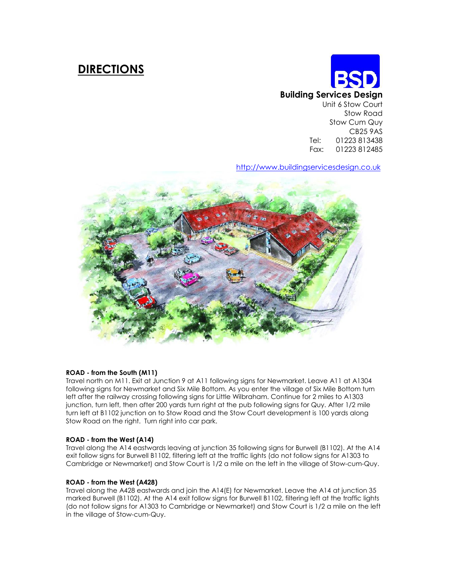# DIRECTIONS

# Building Services Design Unit 6 Stow Court Stow Road Stow Cum Quy CB25 9AS Tel: 01223 813438 Fax: 01223 812485

http://www.buildingservicesdesign.co.uk



# ROAD - from the South (M11)

Travel north on M11. Exit at Junction 9 at A11 following signs for Newmarket. Leave A11 at A1304 following signs for Newmarket and Six Mile Bottom. As you enter the village of Six Mile Bottom turn left after the railway crossing following signs for Little Wilbraham. Continue for 2 miles to A1303 junction, turn left, then after 200 yards turn right at the pub following signs for Quy. After 1/2 mile turn left at B1102 junction on to Stow Road and the Stow Court development is 100 yards along Stow Road on the right. Turn right into car park.

# ROAD - from the West (A14)

Travel along the A14 eastwards leaving at junction 35 following signs for Burwell (B1102). At the A14 exit follow signs for Burwell B1102, filtering left at the traffic lights (do not follow signs for A1303 to Cambridge or Newmarket) and Stow Court is 1/2 a mile on the left in the village of Stow-cum-Quy.

# ROAD - from the West (A428)

Travel along the A428 eastwards and join the A14(E) for Newmarket. Leave the A14 at junction 35 marked Burwell (B1102). At the A14 exit follow signs for Burwell B1102, filtering left at the traffic lights (do not follow signs for A1303 to Cambridge or Newmarket) and Stow Court is 1/2 a mile on the left in the village of Stow-cum-Quy.